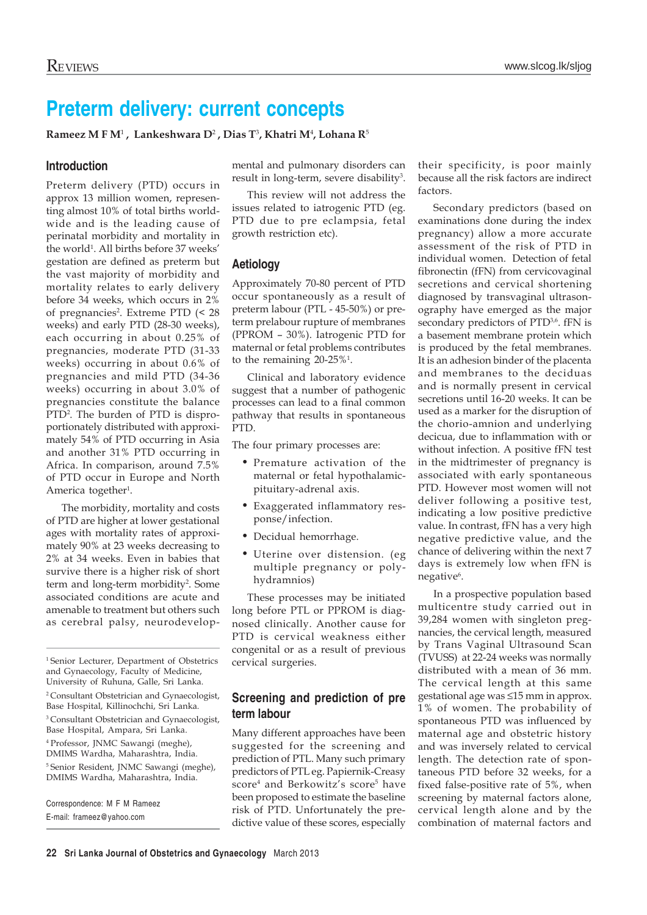# **Preterm delivery: current concepts**

 $\mathbf{R}$ ameez M F M<sup>1</sup> , Lankeshwara D<sup>2</sup> , Dias T<sup>3</sup>, Khatri M<sup>4</sup>, Lohana R<sup>5</sup>

## **Introduction**

Preterm delivery (PTD) occurs in approx 13 million women, representing almost 10% of total births worldwide and is the leading cause of perinatal morbidity and mortality in the world<sup>1</sup>. All births before 37 weeks' gestation are defined as preterm but the vast majority of morbidity and mortality relates to early delivery before 34 weeks, which occurs in 2% of pregnancies<sup>2</sup>. Extreme PTD (< 28 weeks) and early PTD (28-30 weeks), each occurring in about 0.25% of pregnancies, moderate PTD (31-33 weeks) occurring in about 0.6% of pregnancies and mild PTD (34-36 weeks) occurring in about 3.0% of pregnancies constitute the balance PTD2 . The burden of PTD is disproportionately distributed with approximately 54% of PTD occurring in Asia and another 31% PTD occurring in Africa. In comparison, around 7.5% of PTD occur in Europe and North America together<sup>1</sup>.

The morbidity, mortality and costs of PTD are higher at lower gestational ages with mortality rates of approximately 90% at 23 weeks decreasing to 2% at 34 weeks. Even in babies that survive there is a higher risk of short term and long-term morbidity<sup>2</sup>. Some associated conditions are acute and amenable to treatment but others such as cerebral palsy, neurodevelop-

<sup>1</sup> Senior Lecturer, Department of Obstetrics and Gynaecology, Faculty of Medicine, University of Ruhuna, Galle, Sri Lanka. 2 Consultant Obstetrician and Gynaecologist, Base Hospital, Killinochchi, Sri Lanka. <sup>3</sup> Consultant Obstetrician and Gynaecologist,

Base Hospital, Ampara, Sri Lanka. 4 Professor, JNMC Sawangi (meghe), DMIMS Wardha, Maharashtra, India. 5 Senior Resident, JNMC Sawangi (meghe), DMIMS Wardha, Maharashtra, India.

Correspondence: M F M Rameez E-mail: frameez@yahoo.com

mental and pulmonary disorders can result in long-term, severe disability<sup>3</sup>.

This review will not address the issues related to iatrogenic PTD (eg. PTD due to pre eclampsia, fetal growth restriction etc).

# **Aetiology**

Approximately 70-80 percent of PTD occur spontaneously as a result of preterm labour (PTL - 45-50%) or preterm prelabour rupture of membranes (PPROM – 30%). Iatrogenic PTD for maternal or fetal problems contributes to the remaining  $20-25\%$ <sup>1</sup>.

Clinical and laboratory evidence suggest that a number of pathogenic processes can lead to a final common pathway that results in spontaneous PTD.

The four primary processes are:

- Premature activation of the maternal or fetal hypothalamicpituitary-adrenal axis.
- Exaggerated inflammatory response/infection.
- Decidual hemorrhage.
- Uterine over distension. (eg multiple pregnancy or polyhydramnios)

These processes may be initiated long before PTL or PPROM is diagnosed clinically. Another cause for PTD is cervical weakness either congenital or as a result of previous cervical surgeries.

# **Screening and prediction of pre term labour**

Many different approaches have been suggested for the screening and prediction of PTL. Many such primary predictors of PTL eg. Papiernik-Creasy score $^4$  and Berkowitz's score $^5$  have been proposed to estimate the baseline risk of PTD. Unfortunately the predictive value of these scores, especially their specificity, is poor mainly because all the risk factors are indirect factors.

Secondary predictors (based on examinations done during the index pregnancy) allow a more accurate assessment of the risk of PTD in individual women. Detection of fetal fibronectin (fFN) from cervicovaginal secretions and cervical shortening diagnosed by transvaginal ultrasonography have emerged as the major secondary predictors of PTD<sup>3,6</sup>. fFN is a basement membrane protein which is produced by the fetal membranes. It is an adhesion binder of the placenta and membranes to the deciduas and is normally present in cervical secretions until 16-20 weeks. It can be used as a marker for the disruption of the chorio-amnion and underlying decicua, due to inflammation with or without infection. A positive fFN test in the midtrimester of pregnancy is associated with early spontaneous PTD. However most women will not deliver following a positive test, indicating a low positive predictive value. In contrast, fFN has a very high negative predictive value, and the chance of delivering within the next 7 days is extremely low when fFN is negative<sup>6</sup>.

In a prospective population based multicentre study carried out in 39,284 women with singleton pregnancies, the cervical length, measured by Trans Vaginal Ultrasound Scan (TVUSS) at 22-24 weeks was normally distributed with a mean of 36 mm. The cervical length at this same gestational age was ≤15 mm in approx. 1% of women. The probability of spontaneous PTD was influenced by maternal age and obstetric history and was inversely related to cervical length. The detection rate of spontaneous PTD before 32 weeks, for a fixed false-positive rate of 5%, when screening by maternal factors alone, cervical length alone and by the combination of maternal factors and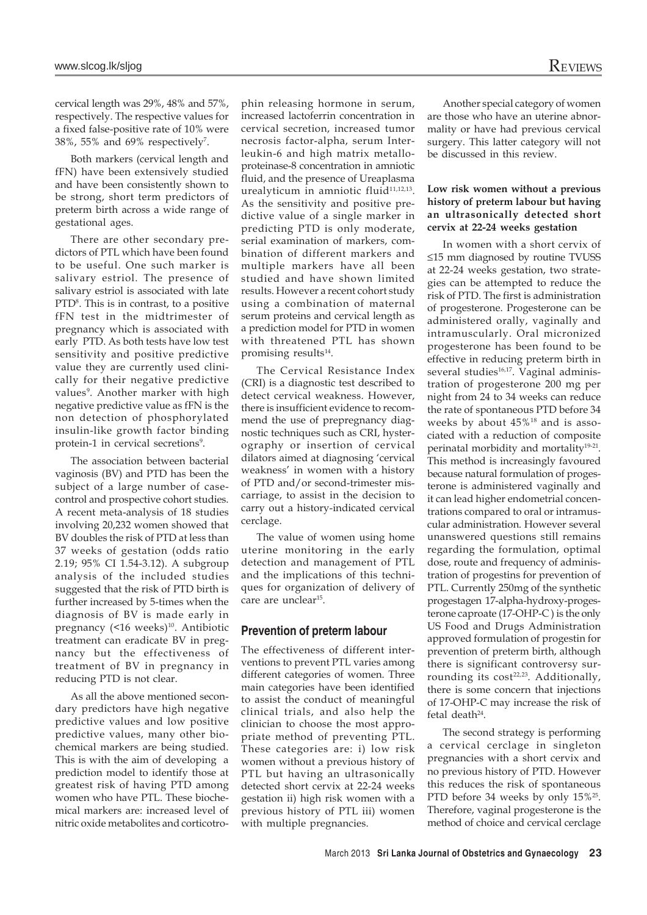cervical length was 29%, 48% and 57%, respectively. The respective values for a fixed false-positive rate of 10% were 38%, 55% and 69% respectively<sup>7</sup>.

Both markers (cervical length and fFN) have been extensively studied and have been consistently shown to be strong, short term predictors of preterm birth across a wide range of gestational ages.

There are other secondary predictors of PTL which have been found to be useful. One such marker is salivary estriol. The presence of salivary estriol is associated with late PTD8 . This is in contrast, to a positive fFN test in the midtrimester of pregnancy which is associated with early PTD. As both tests have low test sensitivity and positive predictive value they are currently used clinically for their negative predictive values<sup>9</sup>. Another marker with high negative predictive value as fFN is the non detection of phosphorylated insulin-like growth factor binding protein-1 in cervical secretions<sup>9</sup>.

The association between bacterial vaginosis (BV) and PTD has been the subject of a large number of casecontrol and prospective cohort studies. A recent meta-analysis of 18 studies involving 20,232 women showed that BV doubles the risk of PTD at less than 37 weeks of gestation (odds ratio 2.19; 95% CI 1.54-3.12). A subgroup analysis of the included studies suggested that the risk of PTD birth is further increased by 5-times when the diagnosis of BV is made early in pregnancy  $($ <16 weeks)<sup>10</sup>. Antibiotic treatment can eradicate BV in pregnancy but the effectiveness of treatment of BV in pregnancy in reducing PTD is not clear.

As all the above mentioned secondary predictors have high negative predictive values and low positive predictive values, many other biochemical markers are being studied. This is with the aim of developing a prediction model to identify those at greatest risk of having PTD among women who have PTL. These biochemical markers are: increased level of nitric oxide metabolites and corticotrophin releasing hormone in serum, increased lactoferrin concentration in cervical secretion, increased tumor necrosis factor-alpha, serum Interleukin-6 and high matrix metalloproteinase-8 concentration in amniotic fluid, and the presence of Ureaplasma urealyticum in amniotic fluid<sup>11,12,13</sup>. As the sensitivity and positive predictive value of a single marker in predicting PTD is only moderate, serial examination of markers, combination of different markers and multiple markers have all been studied and have shown limited results. However a recent cohort study using a combination of maternal serum proteins and cervical length as a prediction model for PTD in women with threatened PTL has shown promising results<sup>14</sup>.

The Cervical Resistance Index (CRI) is a diagnostic test described to detect cervical weakness. However, there is insufficient evidence to recommend the use of prepregnancy diagnostic techniques such as CRI, hysterography or insertion of cervical dilators aimed at diagnosing 'cervical weakness' in women with a history of PTD and/or second-trimester miscarriage, to assist in the decision to carry out a history-indicated cervical cerclage.

The value of women using home uterine monitoring in the early detection and management of PTL and the implications of this techniques for organization of delivery of care are unclear<sup>15</sup>.

## **Prevention of preterm labour**

The effectiveness of different interventions to prevent PTL varies among different categories of women. Three main categories have been identified to assist the conduct of meaningful clinical trials, and also help the clinician to choose the most appropriate method of preventing PTL. These categories are: i) low risk women without a previous history of PTL but having an ultrasonically detected short cervix at 22-24 weeks gestation ii) high risk women with a previous history of PTL iii) women with multiple pregnancies.

Another special category of women are those who have an uterine abnormality or have had previous cervical surgery. This latter category will not be discussed in this review.

### **Low risk women without a previous history of preterm labour but having an ultrasonically detected short cervix at 22-24 weeks gestation**

In women with a short cervix of ≤15 mm diagnosed by routine TVUSS at 22-24 weeks gestation, two strategies can be attempted to reduce the risk of PTD. The first is administration of progesterone. Progesterone can be administered orally, vaginally and intramuscularly. Oral micronized progesterone has been found to be effective in reducing preterm birth in several studies<sup>16,17</sup>. Vaginal administration of progesterone 200 mg per night from 24 to 34 weeks can reduce the rate of spontaneous PTD before 34 weeks by about 45%18 and is associated with a reduction of composite perinatal morbidity and mortality19-21. This method is increasingly favoured because natural formulation of progesterone is administered vaginally and it can lead higher endometrial concentrations compared to oral or intramuscular administration. However several unanswered questions still remains regarding the formulation, optimal dose, route and frequency of administration of progestins for prevention of PTL. Currently 250mg of the synthetic progestagen 17-alpha-hydroxy-progesterone caproate (17-OHP-C ) is the only US Food and Drugs Administration approved formulation of progestin for prevention of preterm birth, although there is significant controversy surrounding its cost<sup>22,23</sup>. Additionally, there is some concern that injections of 17-OHP-C may increase the risk of fetal death<sup>24</sup>.

The second strategy is performing a cervical cerclage in singleton pregnancies with a short cervix and no previous history of PTD. However this reduces the risk of spontaneous PTD before 34 weeks by only 15%<sup>25</sup>. Therefore, vaginal progesterone is the method of choice and cervical cerclage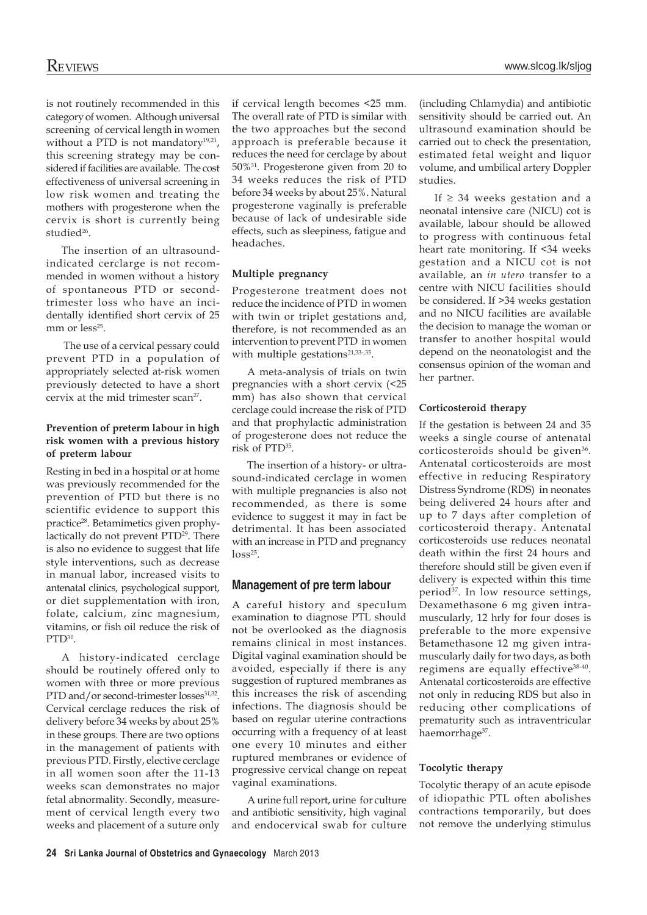is not routinely recommended in this category of women. Although universal screening of cervical length in women without a PTD is not mandatory<sup>19,21</sup>, this screening strategy may be considered if facilities are available. The cost effectiveness of universal screening in low risk women and treating the mothers with progesterone when the cervix is short is currently being studied<sup>26</sup>.

The insertion of an ultrasoundindicated cerclarge is not recommended in women without a history of spontaneous PTD or secondtrimester loss who have an incidentally identified short cervix of 25 mm or  $less<sup>25</sup>$ .

 The use of a cervical pessary could prevent PTD in a population of appropriately selected at-risk women previously detected to have a short cervix at the mid trimester scan<sup>27</sup>.

## **Prevention of preterm labour in high risk women with a previous history of preterm labour**

Resting in bed in a hospital or at home was previously recommended for the prevention of PTD but there is no scientific evidence to support this practice28. Betamimetics given prophylactically do not prevent PTD<sup>29</sup>. There is also no evidence to suggest that life style interventions, such as decrease in manual labor, increased visits to antenatal clinics, psychological support, or diet supplementation with iron, folate, calcium, zinc magnesium, vitamins, or fish oil reduce the risk of PTD30.

A history-indicated cerclage should be routinely offered only to women with three or more previous PTD and/or second-trimester losses<sup>31,32</sup>. Cervical cerclage reduces the risk of delivery before 34 weeks by about 25% in these groups. There are two options in the management of patients with previous PTD. Firstly, elective cerclage in all women soon after the 11-13 weeks scan demonstrates no major fetal abnormality. Secondly, measurement of cervical length every two weeks and placement of a suture only

if cervical length becomes <25 mm. The overall rate of PTD is similar with the two approaches but the second approach is preferable because it reduces the need for cerclage by about 50%31. Progesterone given from 20 to 34 weeks reduces the risk of PTD before 34 weeks by about 25%. Natural progesterone vaginally is preferable because of lack of undesirable side effects, such as sleepiness, fatigue and headaches.

## **Multiple pregnancy**

Progesterone treatment does not reduce the incidence of PTD in women with twin or triplet gestations and, therefore, is not recommended as an intervention to prevent PTD in women with multiple gestations<sup>21,33-,35</sup>.

A meta-analysis of trials on twin pregnancies with a short cervix (<25 mm) has also shown that cervical cerclage could increase the risk of PTD and that prophylactic administration of progesterone does not reduce the risk of PTD35.

The insertion of a history- or ultrasound-indicated cerclage in women with multiple pregnancies is also not recommended, as there is some evidence to suggest it may in fact be detrimental. It has been associated with an increase in PTD and pregnancy  $loss^{25}$ .

## **Management of pre term labour**

A careful history and speculum examination to diagnose PTL should not be overlooked as the diagnosis remains clinical in most instances. Digital vaginal examination should be avoided, especially if there is any suggestion of ruptured membranes as this increases the risk of ascending infections. The diagnosis should be based on regular uterine contractions occurring with a frequency of at least one every 10 minutes and either ruptured membranes or evidence of progressive cervical change on repeat vaginal examinations.

A urine full report, urine for culture and antibiotic sensitivity, high vaginal and endocervical swab for culture

(including Chlamydia) and antibiotic sensitivity should be carried out. An ultrasound examination should be carried out to check the presentation, estimated fetal weight and liquor volume, and umbilical artery Doppler studies.

If  $\geq$  34 weeks gestation and a neonatal intensive care (NICU) cot is available, labour should be allowed to progress with continuous fetal heart rate monitoring. If <34 weeks gestation and a NICU cot is not available, an *in utero* transfer to a centre with NICU facilities should be considered. If >34 weeks gestation and no NICU facilities are available the decision to manage the woman or transfer to another hospital would depend on the neonatologist and the consensus opinion of the woman and her partner.

### **Corticosteroid therapy**

If the gestation is between 24 and 35 weeks a single course of antenatal corticosteroids should be given<sup>36</sup>. Antenatal corticosteroids are most effective in reducing Respiratory Distress Syndrome (RDS) in neonates being delivered 24 hours after and up to 7 days after completion of corticosteroid therapy. Antenatal corticosteroids use reduces neonatal death within the first 24 hours and therefore should still be given even if delivery is expected within this time period<sup>37</sup>. In low resource settings, Dexamethasone 6 mg given intramuscularly, 12 hrly for four doses is preferable to the more expensive Betamethasone 12 mg given intramuscularly daily for two days, as both regimens are equally effective<sup>38-40</sup>. Antenatal corticosteroids are effective not only in reducing RDS but also in reducing other complications of prematurity such as intraventricular haemorrhage<sup>37</sup>.

### **Tocolytic therapy**

Tocolytic therapy of an acute episode of idiopathic PTL often abolishes contractions temporarily, but does not remove the underlying stimulus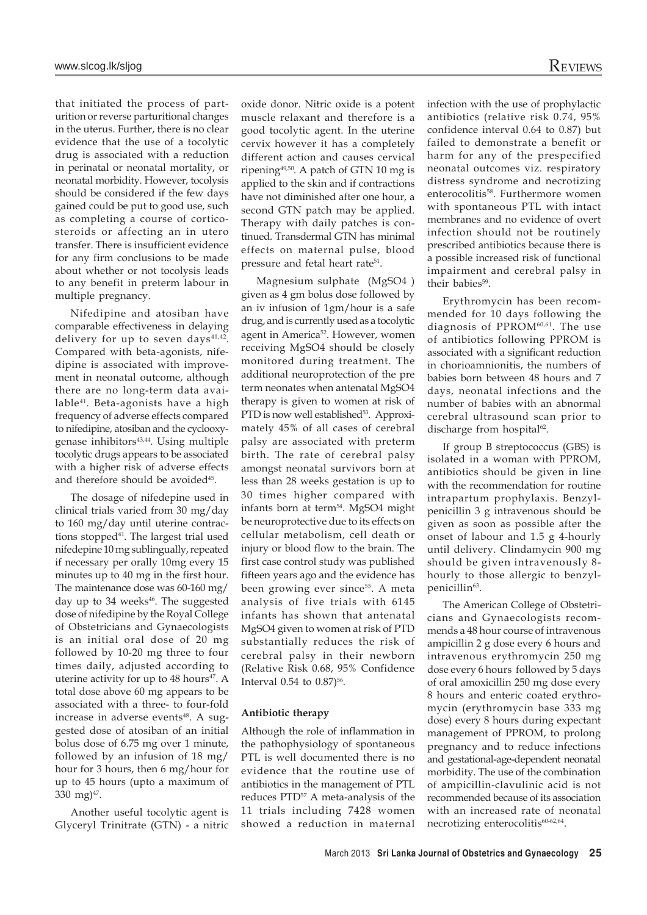that initiated the process of parturition or reverse parturitional changes in the uterus. Further, there is no clear evidence that the use of a tocolytic drug is associated with a reduction in perinatal or neonatal mortality, or neonatal morbidity. However, tocolysis should be considered if the few days

gained could be put to good use, such as completing a course of corticosteroids or affecting an in utero transfer. There is insufficient evidence for any firm conclusions to be made about whether or not tocolysis leads to any benefit in preterm labour in multiple pregnancy.

Nifedipine and atosiban have comparable effectiveness in delaying delivery for up to seven days $41,42$ . Compared with beta-agonists, nifedipine is associated with improvement in neonatal outcome, although there are no long-term data available<sup>41</sup>. Beta-agonists have a high frequency of adverse effects compared to nifedipine, atosiban and the cyclooxygenase inhibitors<sup>43,44</sup>. Using multiple tocolytic drugs appears to be associated with a higher risk of adverse effects and therefore should be avoided<sup>45</sup>.

The dosage of nifedepine used in clinical trials varied from 30 mg/day to 160 mg/day until uterine contractions stopped<sup>41</sup>. The largest trial used nifedepine 10 mg sublingually, repeated if necessary per orally 10mg every 15 minutes up to 40 mg in the first hour. The maintenance dose was 60-160 mg/ day up to 34 weeks<sup>46</sup>. The suggested dose of nifedipine by the Royal College of Obstetricians and Gynaecologists is an initial oral dose of 20 mg followed by 10-20 mg three to four times daily, adjusted according to uterine activity for up to 48 hours<sup>47</sup>. A total dose above 60 mg appears to be associated with a three- to four-fold increase in adverse events<sup>48</sup>. A suggested dose of atosiban of an initial bolus dose of 6.75 mg over 1 minute, followed by an infusion of 18 mg/ hour for 3 hours, then 6 mg/hour for up to 45 hours (upto a maximum of 330 mg $)^{47}$ .

Another useful tocolytic agent is Glyceryl Trinitrate (GTN) - a nitric oxide donor. Nitric oxide is a potent muscle relaxant and therefore is a good tocolytic agent. In the uterine cervix however it has a completely different action and causes cervical ripening49,50. A patch of GTN 10 mg is applied to the skin and if contractions have not diminished after one hour, a second GTN patch may be applied. Therapy with daily patches is continued. Transdermal GTN has minimal effects on maternal pulse, blood pressure and fetal heart rate<sup>51</sup>.

Magnesium sulphate (MgSO4 ) given as 4 gm bolus dose followed by an iv infusion of 1gm/hour is a safe drug, and is currently used as a tocolytic agent in America<sup>52</sup>. However, women receiving MgSO4 should be closely monitored during treatment. The additional neuroprotection of the pre term neonates when antenatal MgSO4 therapy is given to women at risk of PTD is now well established<sup>53</sup>. Approximately 45% of all cases of cerebral palsy are associated with preterm birth. The rate of cerebral palsy amongst neonatal survivors born at less than 28 weeks gestation is up to 30 times higher compared with infants born at term<sup>54</sup>. MgSO4 might be neuroprotective due to its effects on cellular metabolism, cell death or injury or blood flow to the brain. The first case control study was published fifteen years ago and the evidence has been growing ever since<sup>55</sup>. A meta analysis of five trials with 6145 infants has shown that antenatal MgSO4 given to women at risk of PTD substantially reduces the risk of cerebral palsy in their newborn (Relative Risk 0.68, 95% Confidence Interval  $0.54$  to  $0.87$ <sup>56</sup>.

#### **Antibiotic therapy**

Although the role of inflammation in the pathophysiology of spontaneous PTL is well documented there is no evidence that the routine use of antibiotics in the management of PTL reduces PTD<sup>57</sup> A meta-analysis of the 11 trials including 7428 women showed a reduction in maternal

infection with the use of prophylactic antibiotics (relative risk 0.74, 95% confidence interval 0.64 to 0.87) but failed to demonstrate a benefit or harm for any of the prespecified neonatal outcomes viz. respiratory distress syndrome and necrotizing enterocolitis<sup>58</sup>. Furthermore women with spontaneous PTL with intact membranes and no evidence of overt infection should not be routinely prescribed antibiotics because there is a possible increased risk of functional impairment and cerebral palsy in their babies<sup>59</sup>.

Erythromycin has been recommended for 10 days following the diagnosis of PPROM<sup>60,61</sup>. The use of antibiotics following PPROM is associated with a significant reduction in chorioamnionitis, the numbers of babies born between 48 hours and 7 days, neonatal infections and the number of babies with an abnormal cerebral ultrasound scan prior to discharge from hospital<sup>62</sup>.

If group B streptococcus (GBS) is isolated in a woman with PPROM, antibiotics should be given in line with the recommendation for routine intrapartum prophylaxis. Benzylpenicillin 3 g intravenous should be given as soon as possible after the onset of labour and 1.5 g 4-hourly until delivery. Clindamycin 900 mg should be given intravenously 8 hourly to those allergic to benzylpenicillin<sup>63</sup>.

The American College of Obstetricians and Gynaecologists recommends a 48 hour course of intravenous ampicillin 2 g dose every 6 hours and intravenous erythromycin 250 mg dose every 6 hours followed by 5 days of oral amoxicillin 250 mg dose every 8 hours and enteric coated erythromycin (erythromycin base 333 mg dose) every 8 hours during expectant management of PPROM, to prolong pregnancy and to reduce infections and gestational-age-dependent neonatal morbidity. The use of the combination of ampicillin-clavulinic acid is not recommended because of its association with an increased rate of neonatal necrotizing enterocolitis<sup>60-62,64</sup>.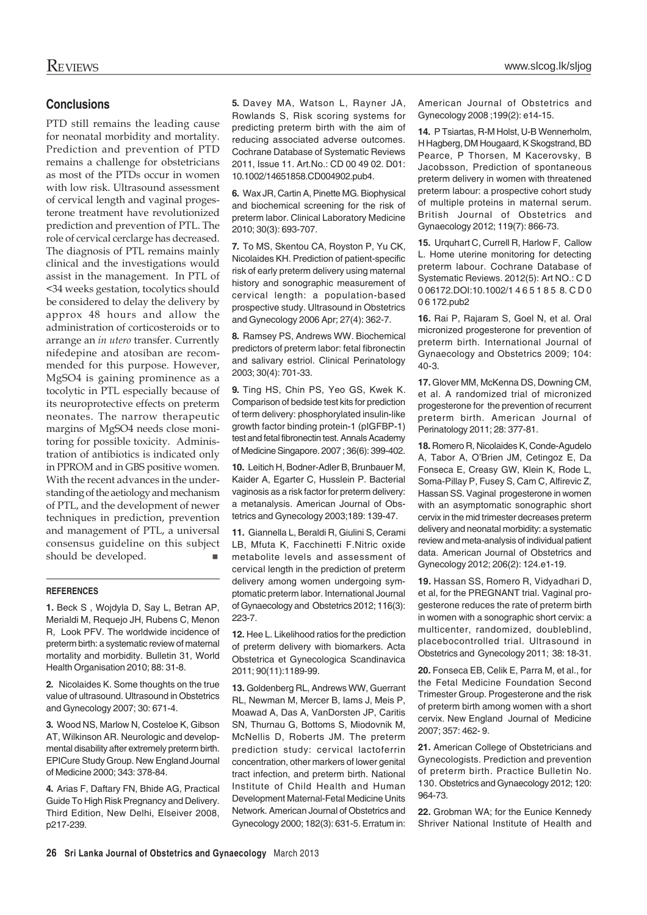# **Conclusions**

PTD still remains the leading cause for neonatal morbidity and mortality. Prediction and prevention of PTD remains a challenge for obstetricians as most of the PTDs occur in women with low risk. Ultrasound assessment of cervical length and vaginal progesterone treatment have revolutionized prediction and prevention of PTL. The role of cervical cerclarge has decreased. The diagnosis of PTL remains mainly clinical and the investigations would assist in the management. In PTL of <34 weeks gestation, tocolytics should be considered to delay the delivery by approx 48 hours and allow the administration of corticosteroids or to arrange an *in utero* transfer. Currently nifedepine and atosiban are recommended for this purpose. However, MgSO4 is gaining prominence as a tocolytic in PTL especially because of its neuroprotective effects on preterm neonates. The narrow therapeutic margins of MgSO4 needs close monitoring for possible toxicity. Administration of antibiotics is indicated only in PPROM and in GBS positive women. With the recent advances in the understanding of the aetiology and mechanism of PTL, and the development of newer techniques in prediction, prevention and management of PTL, a universal consensus guideline on this subject<br>should be developed. should be developed.

### **REFERENCES**

**1.** Beck S , Wojdyla D, Say L, Betran AP, Merialdi M, Requejo JH, Rubens C, Menon R, Look PFV. The worldwide incidence of preterm birth: a systematic review of maternal mortality and morbidity. Bulletin 31, World Health Organisation 2010; 88: 31-8.

**2.** Nicolaides K. Some thoughts on the true value of ultrasound. Ultrasound in Obstetrics and Gynecology 2007; 30: 671-4.

**3.** Wood NS, Marlow N, Costeloe K, Gibson AT, Wilkinson AR. Neurologic and developmental disability after extremely preterm birth. EPICure Study Group. New England Journal of Medicine 2000; 343: 378-84.

**4.** Arias F, Daftary FN, Bhide AG, Practical Guide To High Risk Pregnancy and Delivery. Third Edition, New Delhi, Elseiver 2008, p217-239.

**5.** Davey MA, Watson L, Rayner JA, Rowlands S, Risk scoring systems for predicting preterm birth with the aim of reducing associated adverse outcomes. Cochrane Database of Systematic Reviews 2011, Issue 11. Art.No.: CD 00 49 02. D01: 10.1002/14651858.CD004902.pub4.

**6.** Wax JR, Cartin A, Pinette MG. Biophysical and biochemical screening for the risk of preterm labor. Clinical Laboratory Medicine 2010; 30(3): 693-707.

**7.** To MS, Skentou CA, Royston P, Yu CK, Nicolaides KH. Prediction of patient-specific risk of early preterm delivery using maternal history and sonographic measurement of cervical length: a population-based prospective study. Ultrasound in Obstetrics and Gynecology 2006 Apr; 27(4): 362-7.

**8.** Ramsey PS, Andrews WW. Biochemical predictors of preterm labor: fetal fibronectin and salivary estriol. Clinical Perinatology 2003; 30(4): 701-33.

**9.** Ting HS, Chin PS, Yeo GS, Kwek K. Comparison of bedside test kits for prediction of term delivery: phosphorylated insulin-like growth factor binding protein-1 (pIGFBP-1) test and fetal fibronectin test. Annals Academy of Medicine Singapore. 2007 ; 36(6): 399-402.

**10.** Leitich H, Bodner-Adler B, Brunbauer M, Kaider A, Egarter C, Husslein P. Bacterial vaginosis as a risk factor for preterm delivery: a metanalysis. American Journal of Obstetrics and Gynecology 2003;189: 139-47.

**11.** Giannella L, Beraldi R, Giulini S, Cerami LB, Mfuta K, Facchinetti F.Nitric oxide metabolite levels and assessment of cervical length in the prediction of preterm delivery among women undergoing symptomatic preterm labor. International Journal of Gynaecology and Obstetrics 2012; 116(3): 223-7.

**12.** Hee L. Likelihood ratios for the prediction of preterm delivery with biomarkers. Acta Obstetrica et Gynecologica Scandinavica 2011; 90(11):1189-99.

**13.** Goldenberg RL, Andrews WW, Guerrant RL, Newman M, Mercer B, Iams J, Meis P, Moawad A, Das A, VanDorsten JP, Caritis SN, Thurnau G, Bottoms S, Miodovnik M, McNellis D, Roberts JM. The preterm prediction study: cervical lactoferrin concentration, other markers of lower genital tract infection, and preterm birth. National Institute of Child Health and Human Development Maternal-Fetal Medicine Units Network. American Journal of Obstetrics and Gynecology 2000; 182(3): 631-5. Erratum in:

American Journal of Obstetrics and Gynecology 2008 ;199(2): e14-15.

**14.** P Tsiartas, R-M Holst, U-B Wennerholm, H Hagberg, DM Hougaard, K Skogstrand, BD Pearce, P Thorsen, M Kacerovsky, B Jacobsson, Prediction of spontaneous preterm delivery in women with threatened preterm labour: a prospective cohort study of multiple proteins in maternal serum. British Journal of Obstetrics and Gynaecology 2012; 119(7): 866-73.

**15.** Urquhart C, Currell R, Harlow F, Callow L. Home uterine monitoring for detecting preterm labour. Cochrane Database of Systematic Reviews. 2012(5): Art NO.: C D 0 06172.DOI:10.1002/1 4 6 5 1 8 5 8. C D 0 0 6 172.pub2

**16.** Rai P, Rajaram S, Goel N, et al. Oral micronized progesterone for prevention of preterm birth. International Journal of Gynaecology and Obstetrics 2009; 104: 40-3.

**17.** Glover MM, McKenna DS, Downing CM, et al. A randomized trial of micronized progesterone for the prevention of recurrent preterm birth. American Journal of Perinatology 2011; 28: 377-81.

**18.** Romero R, Nicolaides K, Conde-Agudelo A, Tabor A, O'Brien JM, Cetingoz E, Da Fonseca E, Creasy GW, Klein K, Rode L, Soma-Pillay P, Fusey S, Cam C, Alfirevic Z, Hassan SS. Vaginal progesterone in women with an asymptomatic sonographic short cervix in the mid trimester decreases preterm delivery and neonatal morbidity: a systematic review and meta-analysis of individual patient data. American Journal of Obstetrics and Gynecology 2012; 206(2): 124.e1-19.

**19.** Hassan SS, Romero R, Vidyadhari D, et al, for the PREGNANT trial. Vaginal progesterone reduces the rate of preterm birth in women with a sonographic short cervix: a multicenter, randomized, doubleblind, placebocontrolled trial. Ultrasound in Obstetrics and Gynecology 2011; 38: 18-31.

**20.** Fonseca EB, Celik E, Parra M, et al., for the Fetal Medicine Foundation Second Trimester Group. Progesterone and the risk of preterm birth among women with a short cervix. New England Journal of Medicine 2007; 357: 462- 9.

**21.** American College of Obstetricians and Gynecologists. Prediction and prevention of preterm birth. Practice Bulletin No. 130. Obstetrics and Gynaecology 2012; 120: 964-73.

**22.** Grobman WA; for the Eunice Kennedy Shriver National Institute of Health and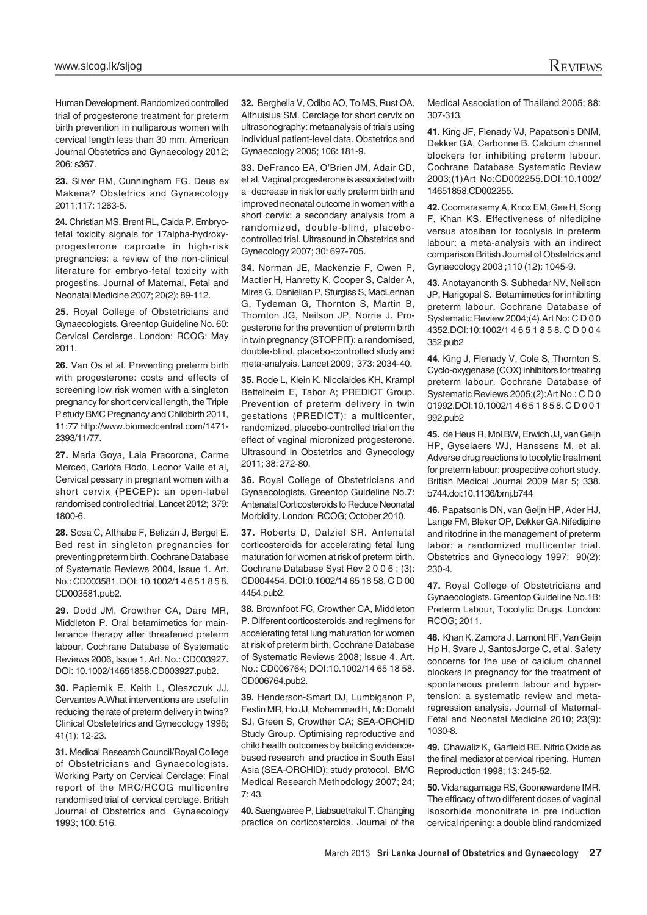Human Development. Randomized controlled trial of progesterone treatment for preterm birth prevention in nulliparous women with cervical length less than 30 mm. American Journal Obstetrics and Gynaecology 2012; 206: s367.

**23.** Silver RM, Cunningham FG. Deus ex Makena? Obstetrics and Gynaecology 2011;117: 1263-5.

**24.** Christian MS, Brent RL, Calda P. Embryofetal toxicity signals for 17alpha-hydroxyprogesterone caproate in high-risk pregnancies: a review of the non-clinical literature for embryo-fetal toxicity with progestins. Journal of Maternal, Fetal and Neonatal Medicine 2007; 20(2): 89-112.

**25.** Royal College of Obstetricians and Gynaecologists. Greentop Guideline No. 60: Cervical Cerclarge. London: RCOG; May 2011.

26. Van Os et al. Preventing preterm birth with progesterone: costs and effects of screening low risk women with a singleton pregnancy for short cervical length, the Triple P study BMC Pregnancy and Childbirth 2011, 11:77 http://www.biomedcentral.com/1471- 2393/11/77.

**27.** Maria Goya, Laia Pracorona, Carme Merced, Carlota Rodo, Leonor Valle et al, Cervical pessary in pregnant women with a short cervix (PECEP): an open-label randomised controlled trial. Lancet 2012; 379: 1800-6.

**28.** Sosa C, Althabe F, Belizán J, Bergel E. Bed rest in singleton pregnancies for preventing preterm birth. Cochrane Database of Systematic Reviews 2004, Issue 1. Art. No.: CD003581. DOI: 10.1002/1 4 6 5 1 8 5 8. CD003581.pub2.

**29.** Dodd JM, Crowther CA, Dare MR, Middleton P. Oral betamimetics for maintenance therapy after threatened preterm labour. Cochrane Database of Systematic Reviews 2006, Issue 1. Art. No.: CD003927. DOI: 10.1002/14651858.CD003927.pub2.

**30.** Papiernik E, Keith L, Oleszczuk JJ, Cervantes A.What interventions are useful in reducing the rate of preterm delivery in twins? Clinical Obstetetrics and Gynecology 1998; 41(1): 12-23.

**31.** Medical Research Council/Royal College of Obstetricians and Gynaecologists. Working Party on Cervical Cerclage: Final report of the MRC/RCOG multicentre randomised trial of cervical cerclage. British Journal of Obstetrics and Gynaecology 1993; 100: 516.

**32.** Berghella V, Odibo AO, To MS, Rust OA, Althuisius SM. Cerclage for short cervix on ultrasonography: metaanalysis of trials using individual patient-level data. Obstetrics and Gynaecology 2005; 106: 181-9.

**33.** DeFranco EA, O'Brien JM, Adair CD, et al. Vaginal progesterone is associated with a decrease in risk for early preterm birth and improved neonatal outcome in women with a short cervix: a secondary analysis from a randomized, double-blind, placebocontrolled trial. Ultrasound in Obstetrics and Gynecology 2007; 30: 697-705.

**34.** Norman JE, Mackenzie F, Owen P, Mactier H, Hanretty K, Cooper S, Calder A, Mires G, Danielian P, Sturgiss S, MacLennan G, Tydeman G, Thornton S, Martin B, Thornton JG, Neilson JP, Norrie J. Progesterone for the prevention of preterm birth in twin pregnancy (STOPPIT): a randomised, double-blind, placebo-controlled study and meta-analysis. Lancet 2009; 373: 2034-40.

**35.** Rode L, Klein K, Nicolaides KH, Krampl Bettelheim E, Tabor A; PREDICT Group. Prevention of preterm delivery in twin gestations (PREDICT): a multicenter, randomized, placebo-controlled trial on the effect of vaginal micronized progesterone. Ultrasound in Obstetrics and Gynecology 2011; 38: 272-80.

**36.** Royal College of Obstetricians and Gynaecologists. Greentop Guideline No.7: Antenatal Corticosteroids to Reduce Neonatal Morbidity. London: RCOG; October 2010.

**37.** Roberts D, Dalziel SR. Antenatal corticosteroids for accelerating fetal lung maturation for women at risk of preterm birth. Cochrane Database Syst Rev 2 0 0 6 ; (3): CD004454. DOI:0.1002/14 65 18 58. C D 00 4454.pub2.

**38.** Brownfoot FC, Crowther CA, Middleton P. Different corticosteroids and regimens for accelerating fetal lung maturation for women at risk of preterm birth. Cochrane Database of Systematic Reviews 2008; Issue 4. Art. No.: CD006764; DOI:10.1002/14 65 18 58. CD006764.pub2.

**39.** Henderson-Smart DJ, Lumbiganon P, Festin MR, Ho JJ, Mohammad H, Mc Donald SJ, Green S, Crowther CA; SEA-ORCHID Study Group. Optimising reproductive and child health outcomes by building evidencebased research and practice in South East Asia (SEA-ORCHID): study protocol. BMC Medical Research Methodology 2007; 24; 7: 43.

**40.** Saengwaree P, Liabsuetrakul T. Changing practice on corticosteroids. Journal of the Medical Association of Thailand 2005; 88: 307-313.

**41.** King JF, Flenady VJ, Papatsonis DNM, Dekker GA, Carbonne B. Calcium channel blockers for inhibiting preterm labour. Cochrane Database Systematic Review 2003;(1)Art No:CD002255.DOI:10.1002/ 14651858.CD002255.

**42.** Coomarasamy A, Knox EM, Gee H, Song F, Khan KS. Effectiveness of nifedipine versus atosiban for tocolysis in preterm labour: a meta-analysis with an indirect comparison British Journal of Obstetrics and Gynaecology 2003 ;110 (12): 1045-9.

**43.** Anotayanonth S, Subhedar NV, Neilson JP, Harigopal S. Betamimetics for inhibiting preterm labour. Cochrane Database of Systematic Review 2004;(4).Art No: C D 0 0 4352.DOI:10:1002/1 4 6 5 1 8 5 8. C D 0 0 4 352 pub2

**44.** King J, Flenady V, Cole S, Thornton S. Cyclo-oxygenase (COX) inhibitors for treating preterm labour. Cochrane Database of Systematic Reviews 2005;(2):Art No.: C D 0 01992.DOI:10.1002/1 4 6 5 1 8 5 8. C D 0 0 1 992.pub2

**45.** de Heus R, Mol BW, Erwich JJ, van Geijn HP, Gyselaers WJ, Hanssens M, et al. Adverse drug reactions to tocolytic treatment for preterm labour: prospective cohort study. British Medical Journal 2009 Mar 5; 338. b744.doi:10.1136/bmj.b744

**46.** Papatsonis DN, van Geijn HP, Ader HJ, Lange FM, Bleker OP, Dekker GA.Nifedipine and ritodrine in the management of preterm labor: a randomized multicenter trial. Obstetrics and Gynecology 1997; 90(2): 230-4.

**47.** Royal College of Obstetricians and Gynaecologists. Greentop Guideline No.1B: Preterm Labour, Tocolytic Drugs. London: RCOG; 2011.

**48.** Khan K, Zamora J, Lamont RF, Van Geijn Hp H, Svare J, SantosJorge C, et al. Safety concerns for the use of calcium channel blockers in pregnancy for the treatment of spontaneous preterm labour and hypertension: a systematic review and metaregression analysis. Journal of Maternal-Fetal and Neonatal Medicine 2010; 23(9): 1030-8.

**49.** Chawaliz K, Garfield RE. Nitric Oxide as the final mediator at cervical ripening. Human Reproduction 1998; 13: 245-52.

**50.** Vidanagamage RS, Goonewardene IMR. The efficacy of two different doses of vaginal isosorbide mononitrate in pre induction cervical ripening: a double blind randomized